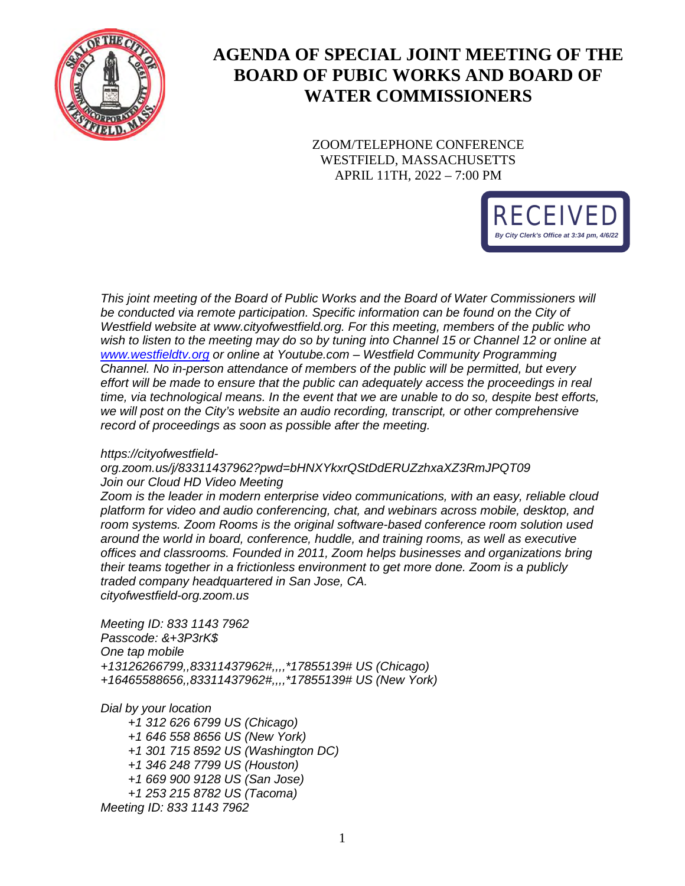

# **AGENDA OF SPECIAL JOINT MEETING OF THE BOARD OF PUBIC WORKS AND BOARD OF WATER COMMISSIONERS**

ZOOM/TELEPHONE CONFERENCE WESTFIELD, MASSACHUSETTS APRIL 11TH, 2022 – 7:00 PM



*This joint meeting of the Board of Public Works and the Board of Water Commissioners will be conducted via remote participation. Specific information can be found on the City of Westfield website at www.cityofwestfield.org. For this meeting, members of the public who wish to listen to the meeting may do so by tuning into Channel 15 or Channel 12 or online at [www.westfieldtv.org](http://www.westfieldtv.org/) or online at Youtube.com – Westfield Community Programming Channel. No in-person attendance of members of the public will be permitted, but every effort will be made to ensure that the public can adequately access the proceedings in real time, via technological means. In the event that we are unable to do so, despite best efforts, we will post on the City's website an audio recording, transcript, or other comprehensive record of proceedings as soon as possible after the meeting.* 

#### *https://cityofwestfield-*

*org.zoom.us/j/83311437962?pwd=bHNXYkxrQStDdERUZzhxaXZ3RmJPQT09 Join our Cloud HD Video Meeting* 

*Zoom is the leader in modern enterprise video communications, with an easy, reliable cloud platform for video and audio conferencing, chat, and webinars across mobile, desktop, and room systems. Zoom Rooms is the original software-based conference room solution used around the world in board, conference, huddle, and training rooms, as well as executive offices and classrooms. Founded in 2011, Zoom helps businesses and organizations bring their teams together in a frictionless environment to get more done. Zoom is a publicly traded company headquartered in San Jose, CA. cityofwestfield-org.zoom.us* 

*Meeting ID: 833 1143 7962 Passcode: &+3P3rK\$ One tap mobile +13126266799,,83311437962#,,,,\*17855139# US (Chicago) +16465588656,,83311437962#,,,,\*17855139# US (New York)* 

*Dial by your location* 

 *+1 312 626 6799 US (Chicago) +1 646 558 8656 US (New York) +1 301 715 8592 US (Washington DC) +1 346 248 7799 US (Houston) +1 669 900 9128 US (San Jose) +1 253 215 8782 US (Tacoma) Meeting ID: 833 1143 7962*